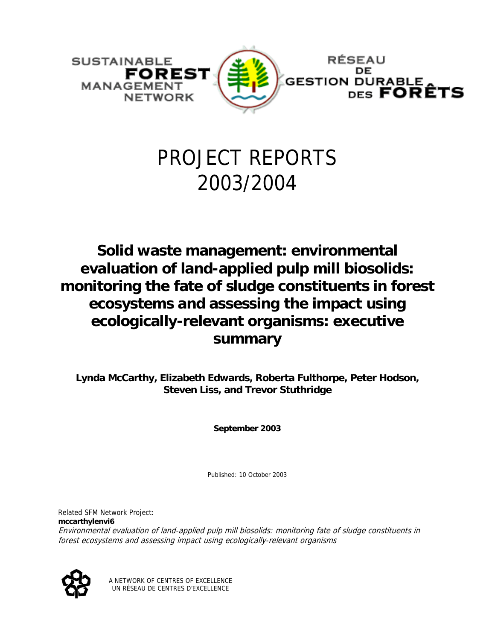

# PROJECT REPORTS 2003/2004

**Solid waste management: environmental evaluation of land-applied pulp mill biosolids: monitoring the fate of sludge constituents in forest ecosystems and assessing the impact using ecologically-relevant organisms: executive summary** 

**Lynda McCarthy, Elizabeth Edwards, Roberta Fulthorpe, Peter Hodson, Steven Liss, and Trevor Stuthridge** 

**September 2003** 

Published: 10 October 2003

Related SFM Network Project: **mccarthylenvi6** Environmental evaluation of land-applied pulp mill biosolids: monitoring fate of sludge constituents in forest ecosystems and assessing impact using ecologically-relevant organisms



A NETWORK OF CENTRES OF EXCELLENCE UN RÉSEAU DE CENTRES D'EXCELLENCE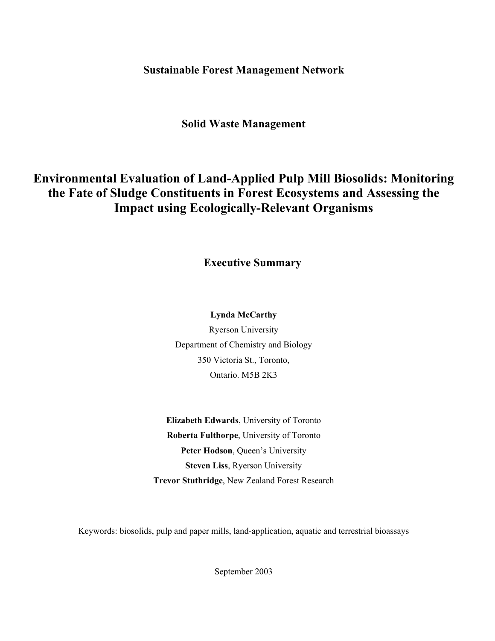**Sustainable Forest Management Network** 

# **Solid Waste Management**

# **Environmental Evaluation of Land-Applied Pulp Mill Biosolids: Monitoring the Fate of Sludge Constituents in Forest Ecosystems and Assessing the Impact using Ecologically-Relevant Organisms**

**Executive Summary** 

## **Lynda McCarthy**

Ryerson University Department of Chemistry and Biology 350 Victoria St., Toronto, Ontario. M5B 2K3

**Elizabeth Edwards**, University of Toronto **Roberta Fulthorpe**, University of Toronto Peter Hodson, Queen's University **Steven Liss**, Ryerson University **Trevor Stuthridge**, New Zealand Forest Research

Keywords: biosolids, pulp and paper mills, land-application, aquatic and terrestrial bioassays

September 2003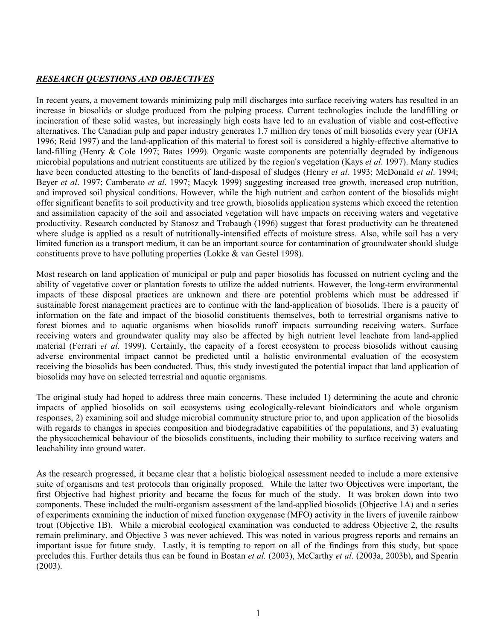#### *RESEARCH QUESTIONS AND OBJECTIVES*

In recent years, a movement towards minimizing pulp mill discharges into surface receiving waters has resulted in an increase in biosolids or sludge produced from the pulping process. Current technologies include the landfilling or incineration of these solid wastes, but increasingly high costs have led to an evaluation of viable and cost-effective alternatives. The Canadian pulp and paper industry generates 1.7 million dry tones of mill biosolids every year (OFIA 1996; Reid 1997) and the land-application of this material to forest soil is considered a highly-effective alternative to land-filling (Henry & Cole 1997; Bates 1999). Organic waste components are potentially degraded by indigenous microbial populations and nutrient constituents are utilized by the region's vegetation (Kays *et al*. 1997). Many studies have been conducted attesting to the benefits of land-disposal of sludges (Henry *et al.* 1993; McDonald *et al*. 1994; Beyer *et al*. 1997; Camberato *et al*. 1997; Macyk 1999) suggesting increased tree growth, increased crop nutrition, and improved soil physical conditions. However, while the high nutrient and carbon content of the biosolids might offer significant benefits to soil productivity and tree growth, biosolids application systems which exceed the retention and assimilation capacity of the soil and associated vegetation will have impacts on receiving waters and vegetative productivity. Research conducted by Stanosz and Trobaugh (1996) suggest that forest productivity can be threatened where sludge is applied as a result of nutritionally-intensified effects of moisture stress. Also, while soil has a very limited function as a transport medium, it can be an important source for contamination of groundwater should sludge constituents prove to have polluting properties (Lokke & van Gestel 1998).

Most research on land application of municipal or pulp and paper biosolids has focussed on nutrient cycling and the ability of vegetative cover or plantation forests to utilize the added nutrients. However, the long-term environmental impacts of these disposal practices are unknown and there are potential problems which must be addressed if sustainable forest management practices are to continue with the land-application of biosolids. There is a paucity of information on the fate and impact of the biosolid constituents themselves, both to terrestrial organisms native to forest biomes and to aquatic organisms when biosolids runoff impacts surrounding receiving waters. Surface receiving waters and groundwater quality may also be affected by high nutrient level leachate from land-applied material (Ferrari *et al.* 1999). Certainly, the capacity of a forest ecosystem to process biosolids without causing adverse environmental impact cannot be predicted until a holistic environmental evaluation of the ecosystem receiving the biosolids has been conducted. Thus, this study investigated the potential impact that land application of biosolids may have on selected terrestrial and aquatic organisms.

The original study had hoped to address three main concerns. These included 1) determining the acute and chronic impacts of applied biosolids on soil ecosystems using ecologically-relevant bioindicators and whole organism responses, 2) examining soil and sludge microbial community structure prior to, and upon application of the biosolids with regards to changes in species composition and biodegradative capabilities of the populations, and 3) evaluating the physicochemical behaviour of the biosolids constituents, including their mobility to surface receiving waters and leachability into ground water.

As the research progressed, it became clear that a holistic biological assessment needed to include a more extensive suite of organisms and test protocols than originally proposed. While the latter two Objectives were important, the first Objective had highest priority and became the focus for much of the study. It was broken down into two components. These included the multi-organism assessment of the land-applied biosolids (Objective 1A) and a series of experiments examining the induction of mixed function oxygenase (MFO) activity in the livers of juvenile rainbow trout (Objective 1B). While a microbial ecological examination was conducted to address Objective 2, the results remain preliminary, and Objective 3 was never achieved. This was noted in various progress reports and remains an important issue for future study. Lastly, it is tempting to report on all of the findings from this study, but space precludes this. Further details thus can be found in Bostan *et al.* (2003), McCarthy *et al*. (2003a, 2003b), and Spearin (2003).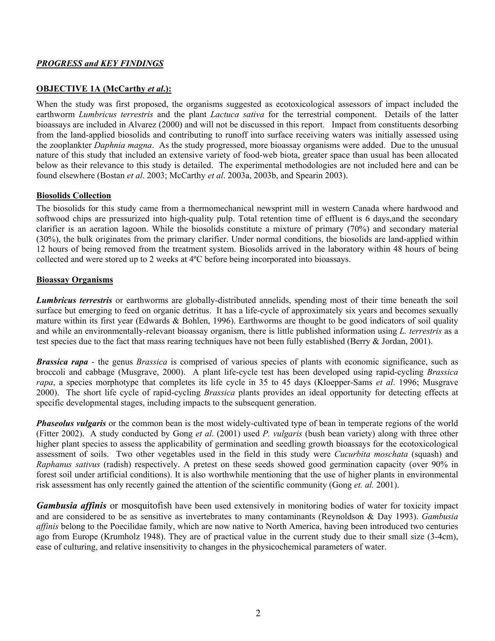#### *PROGRESS and KEY FINDINGS*

#### **OBJECTIVE 1A (McCarthy** *et al***.):**

When the study was first proposed, the organisms suggested as ecotoxicological assessors of impact included the earthworm *Lumbricus terrestris* and the plant *Lactuca sativa* for the terrestrial component. Details of the latter bioassays are included in Alvarez (2000) and will not be discussed in this report. Impact from constituents desorbing from the land-applied biosolids and contributing to runoff into surface receiving waters was initially assessed using the zooplankter *Daphnia magna*. As the study progressed, more bioassay organisms were added. Due to the unusual nature of this study that included an extensive variety of food-web biota, greater space than usual has been allocated below as their relevance to this study is detailed. The experimental methodologies are not included here and can be found elsewhere (Bostan *et al*. 2003; McCarthy *et al*. 2003a, 2003b, and Spearin 2003).

#### **Biosolids Collection**

The biosolids for this study came from a thermomechanical newsprint mill in western Canada where hardwood and softwood chips are pressurized into high-quality pulp. Total retention time of effluent is 6 days, and the secondary clarifier is an aeration lagoon. While the biosolids constitute a mixture of primary (70%) and secondary material (30%), the bulk originates from the primary clarifier. Under normal conditions, the biosolids are land-applied within 12 hours of being removed from the treatment system. Biosolids arrived in the laboratory within 48 hours of being collected and were stored up to 2 weeks at 4ºC before being incorporated into bioassays.

#### **Bioassay Organisms**

*Lumbricus terrestris* or earthworms are globally-distributed annelids, spending most of their time beneath the soil surface but emerging to feed on organic detritus. It has a life-cycle of approximately six years and becomes sexually mature within its first year (Edwards & Bohlen, 1996). Earthworms are thought to be good indicators of soil quality and while an environmentally-relevant bioassay organism, there is little published information using *L. terrestris* as a test species due to the fact that mass rearing techniques have not been fully established (Berry & Jordan, 2001).

*Brassica rapa* - the genus *Brassica* is comprised of various species of plants with economic significance, such as broccoli and cabbage (Musgrave, 2000). A plant life-cycle test has been developed using rapid-cycling *Brassica rapa*, a species morphotype that completes its life cycle in 35 to 45 days (Kloepper-Sams *et al*. 1996; Musgrave 2000). The short life cycle of rapid-cycling *Brassica* plants provides an ideal opportunity for detecting effects at specific developmental stages, including impacts to the subsequent generation.

*Phaseolus vulgaris* or the common bean is the most widely-cultivated type of bean in temperate regions of the world (Fitter 2002). A study conducted by Gong *et al*. (2001) used *P. vulgaris* (bush bean variety) along with three other higher plant species to assess the applicability of germination and seedling growth bioassays for the ecotoxicological assessment of soils. Two other vegetables used in the field in this study were *Cucurbita moschata* (squash) and *Raphanus sativus* (radish) respectively. A pretest on these seeds showed good germination capacity (over 90% in forest soil under artificial conditions). It is also worthwhile mentioning that the use of higher plants in environmental risk assessment has only recently gained the attention of the scientific community (Gong *et. al.* 2001).

*Gambusia affinis* or mosquitofish have been used extensively in monitoring bodies of water for toxicity impact and are considered to be as sensitive as invertebrates to many contaminants (Reynoldson & Day 1993). *Gambusia affinis* belong to the Poecilidae family, which are now native to North America, having been introduced two centuries ago from Europe (Krumholz 1948). They are of practical value in the current study due to their small size (3-4cm), ease of culturing, and relative insensitivity to changes in the physicochemical parameters of water.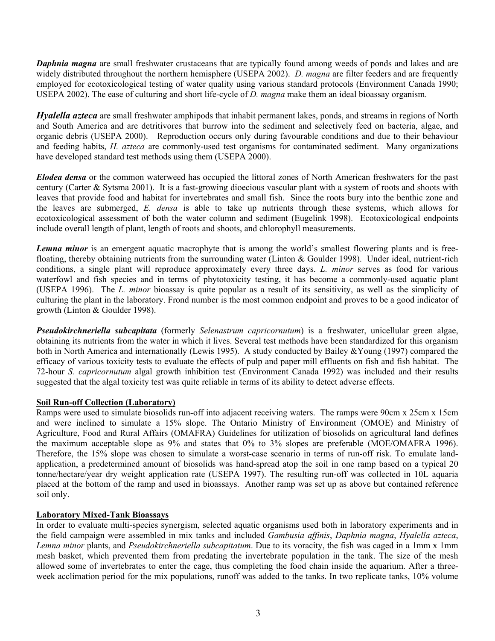*Daphnia magna* are small freshwater crustaceans that are typically found among weeds of ponds and lakes and are widely distributed throughout the northern hemisphere (USEPA 2002). *D. magna* are filter feeders and are frequently employed for ecotoxicological testing of water quality using various standard protocols (Environment Canada 1990; USEPA 2002). The ease of culturing and short life-cycle of *D. magna* make them an ideal bioassay organism.

*Hyalella azteca* are small freshwater amphipods that inhabit permanent lakes, ponds, and streams in regions of North and South America and are detritivores that burrow into the sediment and selectively feed on bacteria, algae, and organic debris (USEPA 2000). Reproduction occurs only during favourable conditions and due to their behaviour and feeding habits, *H. azteca* are commonly-used test organisms for contaminated sediment. Many organizations have developed standard test methods using them (USEPA 2000).

*Elodea densa* or the common waterweed has occupied the littoral zones of North American freshwaters for the past century (Carter & Sytsma 2001). It is a fast-growing dioecious vascular plant with a system of roots and shoots with leaves that provide food and habitat for invertebrates and small fish. Since the roots bury into the benthic zone and the leaves are submerged, *E. densa* is able to take up nutrients through these systems, which allows for ecotoxicological assessment of both the water column and sediment (Eugelink 1998). Ecotoxicological endpoints include overall length of plant, length of roots and shoots, and chlorophyll measurements.

*Lemna minor* is an emergent aquatic macrophyte that is among the world's smallest flowering plants and is freefloating, thereby obtaining nutrients from the surrounding water (Linton & Goulder 1998). Under ideal, nutrient-rich conditions, a single plant will reproduce approximately every three days. *L. minor* serves as food for various waterfowl and fish species and in terms of phytotoxicity testing, it has become a commonly-used aquatic plant (USEPA 1996). The *L. minor* bioassay is quite popular as a result of its sensitivity, as well as the simplicity of culturing the plant in the laboratory. Frond number is the most common endpoint and proves to be a good indicator of growth (Linton & Goulder 1998).

*Pseudokirchneriella subcapitata* (formerly *Selenastrum capricornutum*) is a freshwater, unicellular green algae, obtaining its nutrients from the water in which it lives. Several test methods have been standardized for this organism both in North America and internationally (Lewis 1995). A study conducted by Bailey &Young (1997) compared the efficacy of various toxicity tests to evaluate the effects of pulp and paper mill effluents on fish and fish habitat. The 72-hour *S. capricornutum* algal growth inhibition test (Environment Canada 1992) was included and their results suggested that the algal toxicity test was quite reliable in terms of its ability to detect adverse effects.

#### **Soil Run-off Collection (Laboratory)**

Ramps were used to simulate biosolids run-off into adjacent receiving waters. The ramps were 90cm x 25cm x 15cm and were inclined to simulate a 15% slope. The Ontario Ministry of Environment (OMOE) and Ministry of Agriculture, Food and Rural Affairs (OMAFRA) Guidelines for utilization of biosolids on agricultural land defines the maximum acceptable slope as 9% and states that 0% to 3% slopes are preferable (MOE/OMAFRA 1996). Therefore, the 15% slope was chosen to simulate a worst-case scenario in terms of run-off risk. To emulate landapplication, a predetermined amount of biosolids was hand-spread atop the soil in one ramp based on a typical 20 tonne/hectare/year dry weight application rate (USEPA 1997). The resulting run-off was collected in 10L aquaria placed at the bottom of the ramp and used in bioassays. Another ramp was set up as above but contained reference soil only.

#### **Laboratory Mixed-Tank Bioassays**

In order to evaluate multi-species synergism, selected aquatic organisms used both in laboratory experiments and in the field campaign were assembled in mix tanks and included *Gambusia affinis*, *Daphnia magna*, *Hyalella azteca*, *Lemna minor* plants, and *Pseudokirchneriella subcapitatum*. Due to its voracity, the fish was caged in a 1mm x 1mm mesh basket, which prevented them from predating the invertebrate population in the tank. The size of the mesh allowed some of invertebrates to enter the cage, thus completing the food chain inside the aquarium. After a threeweek acclimation period for the mix populations, runoff was added to the tanks. In two replicate tanks, 10% volume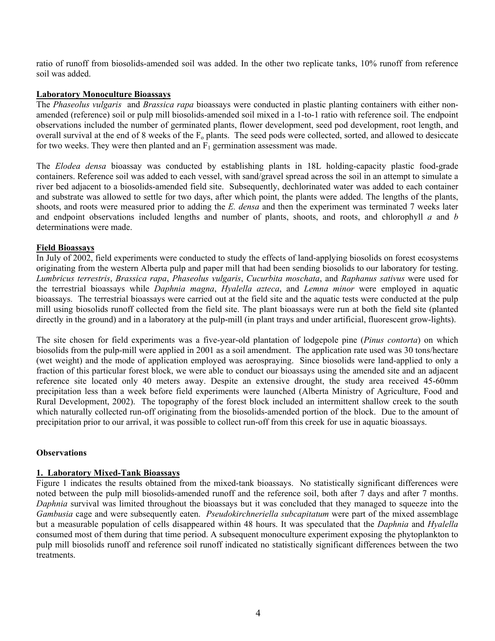ratio of runoff from biosolids-amended soil was added. In the other two replicate tanks, 10% runoff from reference soil was added.

#### **Laboratory Monoculture Bioassays**

The *Phaseolus vulgaris* and *Brassica rapa* bioassays were conducted in plastic planting containers with either nonamended (reference) soil or pulp mill biosolids-amended soil mixed in a 1-to-1 ratio with reference soil. The endpoint observations included the number of germinated plants, flower development, seed pod development, root length, and overall survival at the end of 8 weeks of the  $F_0$  plants. The seed pods were collected, sorted, and allowed to desiccate for two weeks. They were then planted and an  $F_1$  germination assessment was made.

The *Elodea densa* bioassay was conducted by establishing plants in 18L holding-capacity plastic food-grade containers. Reference soil was added to each vessel, with sand/gravel spread across the soil in an attempt to simulate a river bed adjacent to a biosolids-amended field site. Subsequently, dechlorinated water was added to each container and substrate was allowed to settle for two days, after which point, the plants were added. The lengths of the plants, shoots, and roots were measured prior to adding the *E. densa* and then the experiment was terminated 7 weeks later and endpoint observations included lengths and number of plants, shoots, and roots, and chlorophyll *a* and *b* determinations were made.

#### **Field Bioassays**

In July of 2002, field experiments were conducted to study the effects of land-applying biosolids on forest ecosystems originating from the western Alberta pulp and paper mill that had been sending biosolids to our laboratory for testing. *Lumbricus terrestris*, *Brassica rapa*, *Phaseolus vulgaris*, *Cucurbita moschata*, and *Raphanus sativus* were used for the terrestrial bioassays while *Daphnia magna*, *Hyalella azteca*, and *Lemna minor* were employed in aquatic bioassays. The terrestrial bioassays were carried out at the field site and the aquatic tests were conducted at the pulp mill using biosolids runoff collected from the field site. The plant bioassays were run at both the field site (planted directly in the ground) and in a laboratory at the pulp-mill (in plant trays and under artificial, fluorescent grow-lights).

The site chosen for field experiments was a five-year-old plantation of lodgepole pine (*Pinus contorta*) on which biosolids from the pulp-mill were applied in 2001 as a soil amendment. The application rate used was 30 tons/hectare (wet weight) and the mode of application employed was aerospraying. Since biosolids were land-applied to only a fraction of this particular forest block, we were able to conduct our bioassays using the amended site and an adjacent reference site located only 40 meters away. Despite an extensive drought, the study area received 45-60mm precipitation less than a week before field experiments were launched (Alberta Ministry of Agriculture, Food and Rural Development, 2002). The topography of the forest block included an intermittent shallow creek to the south which naturally collected run-off originating from the biosolids-amended portion of the block. Due to the amount of precipitation prior to our arrival, it was possible to collect run-off from this creek for use in aquatic bioassays.

#### **Observations**

#### **1. Laboratory Mixed-Tank Bioassays**

Figure 1 indicates the results obtained from the mixed-tank bioassays. No statistically significant differences were noted between the pulp mill biosolids-amended runoff and the reference soil, both after 7 days and after 7 months. *Daphnia* survival was limited throughout the bioassays but it was concluded that they managed to squeeze into the *Gambusia* cage and were subsequently eaten. *Pseudokirchneriella subcapitatum* were part of the mixed assemblage but a measurable population of cells disappeared within 48 hours. It was speculated that the *Daphnia* and *Hyalella*  consumed most of them during that time period. A subsequent monoculture experiment exposing the phytoplankton to pulp mill biosolids runoff and reference soil runoff indicated no statistically significant differences between the two treatments.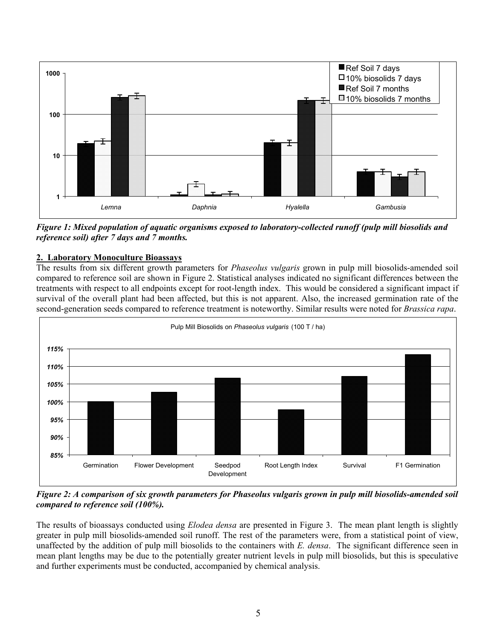

*Figure 1: Mixed population of aquatic organisms exposed to laboratory-collected runoff (pulp mill biosolids and reference soil) after 7 days and 7 months.* 

### **2. Laboratory Monoculture Bioassays**

The results from six different growth parameters for *Phaseolus vulgaris* grown in pulp mill biosolids-amended soil compared to reference soil are shown in Figure 2. Statistical analyses indicated no significant differences between the treatments with respect to all endpoints except for root-length index. This would be considered a significant impact if survival of the overall plant had been affected, but this is not apparent. Also, the increased germination rate of the second-generation seeds compared to reference treatment is noteworthy. Similar results were noted for *Brassica rapa*.



*Figure 2: A comparison of six growth parameters for Phaseolus vulgaris grown in pulp mill biosolids-amended soil compared to reference soil (100%).* 

The results of bioassays conducted using *Elodea densa* are presented in Figure 3. The mean plant length is slightly greater in pulp mill biosolids-amended soil runoff. The rest of the parameters were, from a statistical point of view, unaffected by the addition of pulp mill biosolids to the containers with *E. densa*. The significant difference seen in mean plant lengths may be due to the potentially greater nutrient levels in pulp mill biosolids, but this is speculative and further experiments must be conducted, accompanied by chemical analysis.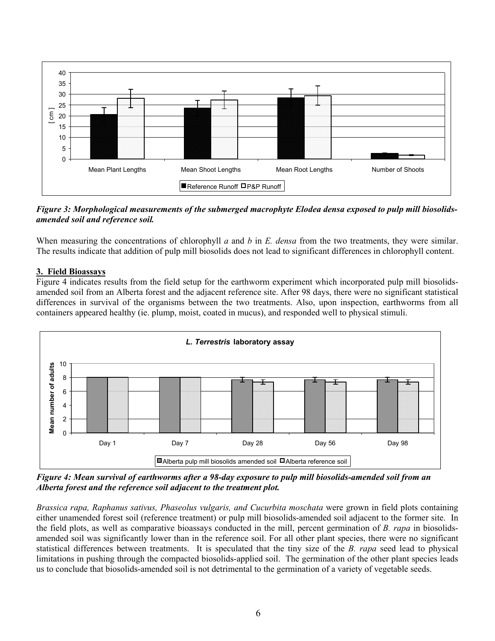

*Figure 3: Morphological measurements of the submerged macrophyte Elodea densa exposed to pulp mill biosolidsamended soil and reference soil.*

When measuring the concentrations of chlorophyll *a* and *b* in *E. densa* from the two treatments, they were similar. The results indicate that addition of pulp mill biosolids does not lead to significant differences in chlorophyll content.

#### **3. Field Bioassays**

Figure 4 indicates results from the field setup for the earthworm experiment which incorporated pulp mill biosolidsamended soil from an Alberta forest and the adjacent reference site. After 98 days, there were no significant statistical differences in survival of the organisms between the two treatments. Also, upon inspection, earthworms from all containers appeared healthy (ie. plump, moist, coated in mucus), and responded well to physical stimuli.



*Figure 4: Mean survival of earthworms after a 98-day exposure to pulp mill biosolids-amended soil from an Alberta forest and the reference soil adjacent to the treatment plot.* 

*Brassica rapa, Raphanus sativus, Phaseolus vulgaris, and Cucurbita moschata* were grown in field plots containing either unamended forest soil (reference treatment) or pulp mill biosolids-amended soil adjacent to the former site. In the field plots, as well as comparative bioassays conducted in the mill, percent germination of *B. rapa* in biosolidsamended soil was significantly lower than in the reference soil. For all other plant species, there were no significant statistical differences between treatments. It is speculated that the tiny size of the *B. rapa* seed lead to physical limitations in pushing through the compacted biosolids-applied soil. The germination of the other plant species leads us to conclude that biosolids-amended soil is not detrimental to the germination of a variety of vegetable seeds.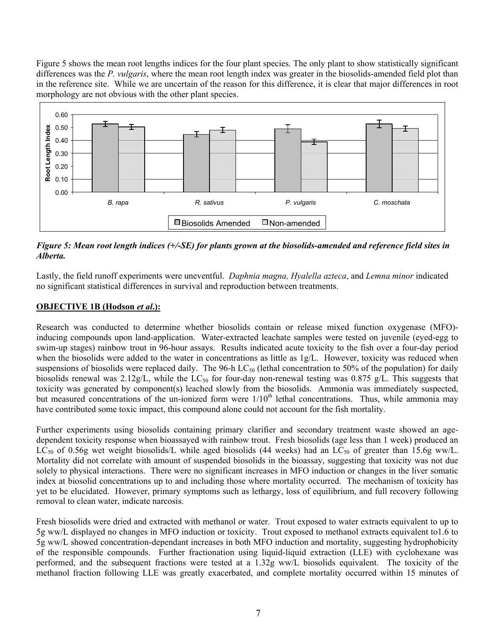Figure 5 shows the mean root lengths indices for the four plant species. The only plant to show statistically significant differences was the *P. vulgaris*, where the mean root length index was greater in the biosolids-amended field plot than in the reference site. While we are uncertain of the reason for this difference, it is clear that major differences in root morphology are not obvious with the other plant species.



*Figure 5: Mean root length indices (+/-SE) for plants grown at the biosolids-amended and reference field sites in Alberta.* 

Lastly, the field runoff experiments were uneventful. *Daphnia magna, Hyalella azteca*, and *Lemna minor* indicated no significant statistical differences in survival and reproduction between treatments.

#### **OBJECTIVE 1B (Hodson** *et al***.):**

Research was conducted to determine whether biosolids contain or release mixed function oxygenase (MFO) inducing compounds upon land-application. Water-extracted leachate samples were tested on juvenile (eyed-egg to swim-up stages) rainbow trout in 96-hour assays. Results indicated acute toxicity to the fish over a four-day period when the biosolids were added to the water in concentrations as little as  $1g/L$ . However, toxicity was reduced when suspensions of biosolids were replaced daily. The 96-h  $LC_{50}$  (lethal concentration to 50% of the population) for daily biosolids renewal was  $2.12g/L$ , while the LC<sub>50</sub> for four-day non-renewal testing was 0.875 g/L. This suggests that toxicity was generated by component(s) leached slowly from the biosolids. Ammonia was immediately suspected, but measured concentrations of the un-ionized form were 1/10<sup>th</sup> lethal concentrations. Thus, while ammonia may have contributed some toxic impact, this compound alone could not account for the fish mortality.

Further experiments using biosolids containing primary clarifier and secondary treatment waste showed an agedependent toxicity response when bioassayed with rainbow trout. Fresh biosolids (age less than 1 week) produced an LC<sub>50</sub> of 0.56g wet weight biosolids/L while aged biosolids (44 weeks) had an LC<sub>50</sub> of greater than 15.6g ww/L. Mortality did not correlate with amount of suspended biosolids in the bioassay, suggesting that toxicity was not due solely to physical interactions. There were no significant increases in MFO induction or changes in the liver somatic index at biosolid concentrations up to and including those where mortality occurred. The mechanism of toxicity has yet to be elucidated. However, primary symptoms such as lethargy, loss of equilibrium, and full recovery following removal to clean water, indicate narcosis.

Fresh biosolids were dried and extracted with methanol or water. Trout exposed to water extracts equivalent to up to 5g ww/L displayed no changes in MFO induction or toxicity. Trout exposed to methanol extracts equivalent to1.6 to 5g ww/L showed concentration-dependant increases in both MFO induction and mortality, suggesting hydrophobicity of the responsible compounds. Further fractionation using liquid-liquid extraction (LLE) with cyclohexane was performed, and the subsequent fractions were tested at a 1.32g ww/L biosolids equivalent. The toxicity of the methanol fraction following LLE was greatly exacerbated, and complete mortality occurred within 15 minutes of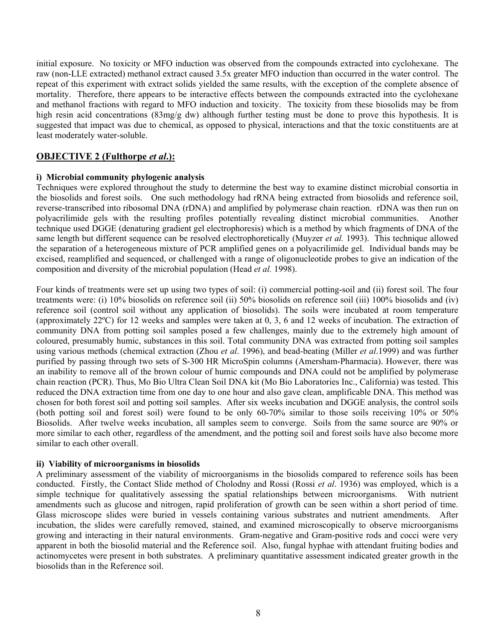initial exposure. No toxicity or MFO induction was observed from the compounds extracted into cyclohexane. The raw (non-LLE extracted) methanol extract caused 3.5x greater MFO induction than occurred in the water control. The repeat of this experiment with extract solids yielded the same results, with the exception of the complete absence of mortality. Therefore, there appears to be interactive effects between the compounds extracted into the cyclohexane and methanol fractions with regard to MFO induction and toxicity. The toxicity from these biosolids may be from high resin acid concentrations (83mg/g dw) although further testing must be done to prove this hypothesis. It is suggested that impact was due to chemical, as opposed to physical, interactions and that the toxic constituents are at least moderately water-soluble.

#### **OBJECTIVE 2 (Fulthorpe** *et al***.):**

#### **i) Microbial community phylogenic analysis**

Techniques were explored throughout the study to determine the best way to examine distinct microbial consortia in the biosolids and forest soils. One such methodology had rRNA being extracted from biosolids and reference soil, reverse-transcribed into ribosomal DNA (rDNA) and amplified by polymerase chain reaction. rDNA was then run on polyacrilimide gels with the resulting profiles potentially revealing distinct microbial communities. Another technique used DGGE (denaturing gradient gel electrophoresis) which is a method by which fragments of DNA of the same length but different sequence can be resolved electrophoretically (Muyzer *et al.* 1993). This technique allowed the separation of a heterogeneous mixture of PCR amplified genes on a polyacrilimide gel. Individual bands may be excised, reamplified and sequenced, or challenged with a range of oligonucleotide probes to give an indication of the composition and diversity of the microbial population (Head *et al.* 1998).

Four kinds of treatments were set up using two types of soil: (i) commercial potting-soil and (ii) forest soil. The four treatments were: (i) 10% biosolids on reference soil (ii) 50% biosolids on reference soil (iii) 100% biosolids and (iv) reference soil (control soil without any application of biosolids). The soils were incubated at room temperature (approximately 22ºC) for 12 weeks and samples were taken at 0, 3, 6 and 12 weeks of incubation. The extraction of community DNA from potting soil samples posed a few challenges, mainly due to the extremely high amount of coloured, presumably humic, substances in this soil. Total community DNA was extracted from potting soil samples using various methods (chemical extraction (Zhou *et al*. 1996), and bead-beating (Miller *et al*.1999) and was further purified by passing through two sets of S-300 HR MicroSpin columns (Amersham-Pharmacia). However, there was an inability to remove all of the brown colour of humic compounds and DNA could not be amplified by polymerase chain reaction (PCR). Thus, Mo Bio Ultra Clean Soil DNA kit (Mo Bio Laboratories Inc., California) was tested. This reduced the DNA extraction time from one day to one hour and also gave clean, amplificable DNA. This method was chosen for both forest soil and potting soil samples. After six weeks incubation and DGGE analysis, the control soils (both potting soil and forest soil) were found to be only 60-70% similar to those soils receiving 10% or 50% Biosolids. After twelve weeks incubation, all samples seem to converge. Soils from the same source are 90% or more similar to each other, regardless of the amendment, and the potting soil and forest soils have also become more similar to each other overall.

#### **ii) Viability of microorganisms in biosolids**

A preliminary assessment of the viability of microorganisms in the biosolids compared to reference soils has been conducted. Firstly, the Contact Slide method of Cholodny and Rossi (Rossi *et al*. 1936) was employed, which is a simple technique for qualitatively assessing the spatial relationships between microorganisms. With nutrient amendments such as glucose and nitrogen, rapid proliferation of growth can be seen within a short period of time. Glass microscope slides were buried in vessels containing various substrates and nutrient amendments. After incubation, the slides were carefully removed, stained, and examined microscopically to observe microorganisms growing and interacting in their natural environments. Gram-negative and Gram-positive rods and cocci were very apparent in both the biosolid material and the Reference soil. Also, fungal hyphae with attendant fruiting bodies and actinomycetes were present in both substrates. A preliminary quantitative assessment indicated greater growth in the biosolids than in the Reference soil.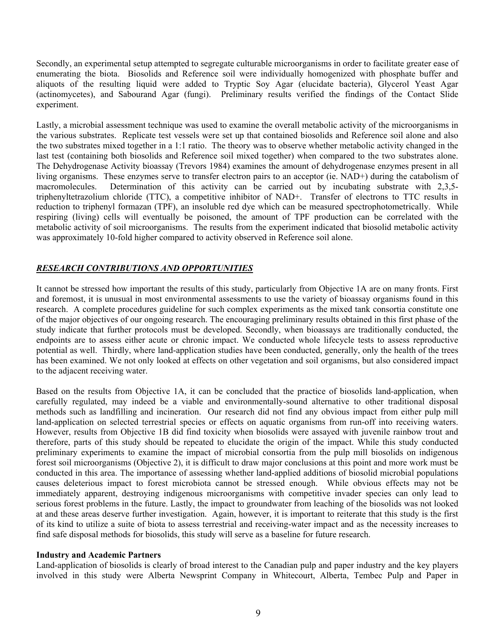Secondly, an experimental setup attempted to segregate culturable microorganisms in order to facilitate greater ease of enumerating the biota. Biosolids and Reference soil were individually homogenized with phosphate buffer and aliquots of the resulting liquid were added to Tryptic Soy Agar (elucidate bacteria), Glycerol Yeast Agar (actinomycetes), and Sabourand Agar (fungi). Preliminary results verified the findings of the Contact Slide experiment.

Lastly, a microbial assessment technique was used to examine the overall metabolic activity of the microorganisms in the various substrates. Replicate test vessels were set up that contained biosolids and Reference soil alone and also the two substrates mixed together in a 1:1 ratio. The theory was to observe whether metabolic activity changed in the last test (containing both biosolids and Reference soil mixed together) when compared to the two substrates alone. The Dehydrogenase Activity bioassay (Trevors 1984) examines the amount of dehydrogenase enzymes present in all living organisms. These enzymes serve to transfer electron pairs to an acceptor (ie. NAD+) during the catabolism of macromolecules. Determination of this activity can be carried out by incubating substrate with 2,3,5triphenyltetrazolium chloride (TTC), a competitive inhibitor of NAD+. Transfer of electrons to TTC results in reduction to triphenyl formazan (TPF), an insoluble red dye which can be measured spectrophotometrically. While respiring (living) cells will eventually be poisoned, the amount of TPF production can be correlated with the metabolic activity of soil microorganisms. The results from the experiment indicated that biosolid metabolic activity was approximately 10-fold higher compared to activity observed in Reference soil alone.

#### *RESEARCH CONTRIBUTIONS AND OPPORTUNITIES*

It cannot be stressed how important the results of this study, particularly from Objective 1A are on many fronts. First and foremost, it is unusual in most environmental assessments to use the variety of bioassay organisms found in this research. A complete procedures guideline for such complex experiments as the mixed tank consortia constitute one of the major objectives of our ongoing research. The encouraging preliminary results obtained in this first phase of the study indicate that further protocols must be developed. Secondly, when bioassays are traditionally conducted, the endpoints are to assess either acute or chronic impact. We conducted whole lifecycle tests to assess reproductive potential as well. Thirdly, where land-application studies have been conducted, generally, only the health of the trees has been examined. We not only looked at effects on other vegetation and soil organisms, but also considered impact to the adjacent receiving water.

Based on the results from Objective 1A, it can be concluded that the practice of biosolids land-application, when carefully regulated, may indeed be a viable and environmentally-sound alternative to other traditional disposal methods such as landfilling and incineration. Our research did not find any obvious impact from either pulp mill land-application on selected terrestrial species or effects on aquatic organisms from run-off into receiving waters. However, results from Objective 1B did find toxicity when biosolids were assayed with juvenile rainbow trout and therefore, parts of this study should be repeated to elucidate the origin of the impact. While this study conducted preliminary experiments to examine the impact of microbial consortia from the pulp mill biosolids on indigenous forest soil microorganisms (Objective 2), it is difficult to draw major conclusions at this point and more work must be conducted in this area. The importance of assessing whether land-applied additions of biosolid microbial populations causes deleterious impact to forest microbiota cannot be stressed enough. While obvious effects may not be immediately apparent, destroying indigenous microorganisms with competitive invader species can only lead to serious forest problems in the future. Lastly, the impact to groundwater from leaching of the biosolids was not looked at and these areas deserve further investigation. Again, however, it is important to reiterate that this study is the first of its kind to utilize a suite of biota to assess terrestrial and receiving-water impact and as the necessity increases to find safe disposal methods for biosolids, this study will serve as a baseline for future research.

#### **Industry and Academic Partners**

Land-application of biosolids is clearly of broad interest to the Canadian pulp and paper industry and the key players involved in this study were Alberta Newsprint Company in Whitecourt, Alberta, Tembec Pulp and Paper in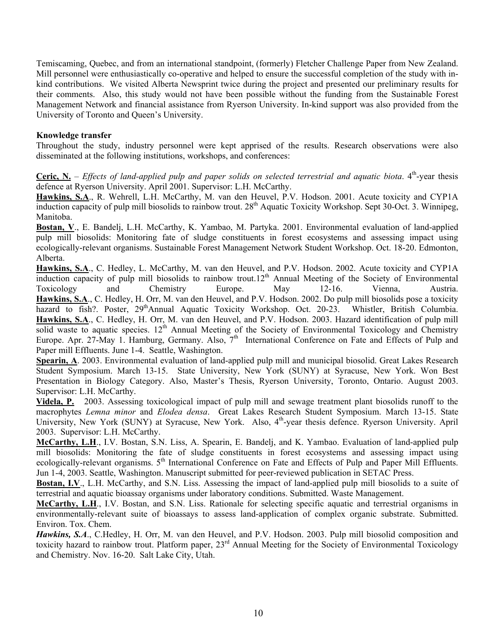Temiscaming, Quebec, and from an international standpoint, (formerly) Fletcher Challenge Paper from New Zealand. Mill personnel were enthusiastically co-operative and helped to ensure the successful completion of the study with inkind contributions. We visited Alberta Newsprint twice during the project and presented our preliminary results for their comments. Also, this study would not have been possible without the funding from the Sustainable Forest Management Network and financial assistance from Ryerson University. In-kind support was also provided from the University of Toronto and Queen's University.

#### **Knowledge transfer**

Throughout the study, industry personnel were kept apprised of the results. Research observations were also disseminated at the following institutions, workshops, and conferences:

**Ceric, N.** – *Effects of land-applied pulp and paper solids on selected terrestrial and aquatic biota.*  $4<sup>th</sup>$ -year thesis defence at Ryerson University. April 2001. Supervisor: L.H. McCarthy.

**Hawkins, S.A**., R. Wehrell, L.H. McCarthy, M. van den Heuvel, P.V. Hodson. 2001. Acute toxicity and CYP1A induction capacity of pulp mill biosolids to rainbow trout.  $28<sup>th</sup>$  Aquatic Toxicity Workshop. Sept 30-Oct. 3. Winnipeg, Manitoba.

**Bostan, V**., E. Bandelj, L.H. McCarthy, K. Yambao, M. Partyka. 2001. Environmental evaluation of land-applied pulp mill biosolids: Monitoring fate of sludge constituents in forest ecosystems and assessing impact using ecologically-relevant organisms. Sustainable Forest Management Network Student Workshop. Oct. 18-20. Edmonton, Alberta.

**Hawkins, S.A**., C. Hedley, L. McCarthy, M. van den Heuvel, and P.V. Hodson. 2002. Acute toxicity and CYP1A induction capacity of pulp mill biosolids to rainbow trout.12<sup>th</sup> Annual Meeting of the Society of Environmental Toxicology and Chemistry Europe. May 12-16. Vienna, Austria. **Hawkins, S.A**., C. Hedley, H. Orr, M. van den Heuvel, and P.V. Hodson. 2002. Do pulp mill biosolids pose a toxicity hazard to fish?. Poster, 29<sup>th</sup>Annual Aquatic Toxicity Workshop. Oct. 20-23. Whistler, British Columbia. **Hawkins, S.A**., C. Hedley, H. Orr, M. van den Heuvel, and P.V. Hodson. 2003. Hazard identification of pulp mill solid waste to aquatic species.  $12<sup>th</sup>$  Annual Meeting of the Society of Environmental Toxicology and Chemistry Europe. Apr. 27-May 1. Hamburg, Germany. Also,  $7<sup>th</sup>$  International Conference on Fate and Effects of Pulp and Paper mill Effluents. June 1-4. Seattle, Washington.

**Spearin, A**. 2003. Environmental evaluation of land-applied pulp mill and municipal biosolid. Great Lakes Research Student Symposium. March 13-15. State University, New York (SUNY) at Syracuse, New York. Won Best Presentation in Biology Category. Also, Master's Thesis, Ryerson University, Toronto, Ontario. August 2003. Supervisor: L.H. McCarthy.

**Videla, P.** 2003. Assessing toxicological impact of pulp mill and sewage treatment plant biosolids runoff to the macrophytes *Lemna minor* and *Elodea densa*. Great Lakes Research Student Symposium. March 13-15. State University, New York (SUNY) at Syracuse, New York. Also, 4<sup>th</sup>-year thesis defence. Ryerson University. April 2003. Supervisor: L.H. McCarthy.

**McCarthy, L.H**., I.V. Bostan, S.N. Liss, A. Spearin, E. Bandelj, and K. Yambao. Evaluation of land-applied pulp mill biosolids: Monitoring the fate of sludge constituents in forest ecosystems and assessing impact using ecologically-relevant organisms. 5<sup>th</sup> International Conference on Fate and Effects of Pulp and Paper Mill Effluents. Jun 1-4, 2003. Seattle, Washington. Manuscript submitted for peer-reviewed publication in SETAC Press.

**Bostan, I.V**., L.H. McCarthy, and S.N. Liss. Assessing the impact of land-applied pulp mill biosolids to a suite of terrestrial and aquatic bioassay organisms under laboratory conditions. Submitted. Waste Management.

**McCarthy, L.H**., I.V. Bostan, and S.N. Liss. Rationale for selecting specific aquatic and terrestrial organisms in environmentally-relevant suite of bioassays to assess land-application of complex organic substrate. Submitted. Environ. Tox. Chem.

*Hawkins, S.A*., C.Hedley, H. Orr, M. van den Heuvel, and P.V. Hodson. 2003. Pulp mill biosolid composition and toxicity hazard to rainbow trout. Platform paper, 23rd Annual Meeting for the Society of Environmental Toxicology and Chemistry. Nov. 16-20. Salt Lake City, Utah.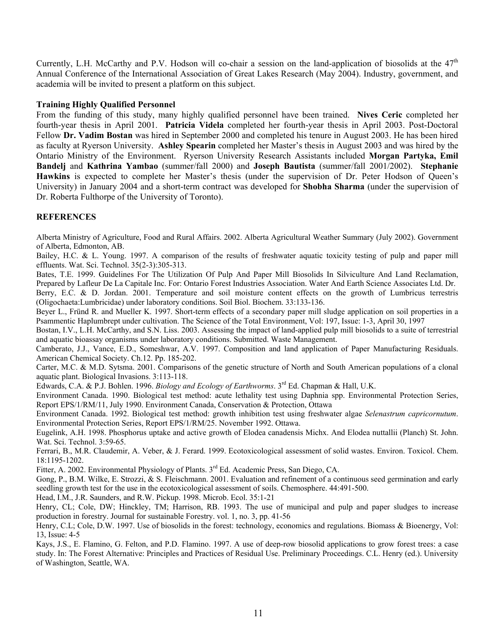Currently, L.H. McCarthy and P.V. Hodson will co-chair a session on the land-application of biosolids at the  $47<sup>th</sup>$ Annual Conference of the International Association of Great Lakes Research (May 2004). Industry, government, and academia will be invited to present a platform on this subject.

#### **Training Highly Qualified Personnel**

From the funding of this study, many highly qualified personnel have been trained. **Nives Ceric** completed her fourth-year thesis in April 2001. **Patricia Videla** completed her fourth-year thesis in April 2003. Post-Doctoral Fellow **Dr. Vadim Bostan** was hired in September 2000 and completed his tenure in August 2003. He has been hired as faculty at Ryerson University. **Ashley Spearin** completed her Master's thesis in August 2003 and was hired by the Ontario Ministry of the Environment. Ryerson University Research Assistants included **Morgan Partyka, Emil Bandelj** and **Kathrina Yambao** (summer/fall 2000) and **Joseph Bautista** (summer/fall 2001/2002). **Stephanie Hawkins** is expected to complete her Master's thesis (under the supervision of Dr. Peter Hodson of Queen's University) in January 2004 and a short-term contract was developed for **Shobha Sharma** (under the supervision of Dr. Roberta Fulthorpe of the University of Toronto).

#### **REFERENCES**

Alberta Ministry of Agriculture, Food and Rural Affairs. 2002. Alberta Agricultural Weather Summary (July 2002). Government of Alberta, Edmonton, AB.

Bailey, H.C. & L. Young. 1997. A comparison of the results of freshwater aquatic toxicity testing of pulp and paper mill effluents. Wat. Sci. Technol. 35(2-3):305-313.

Bates, T.E. 1999. Guidelines For The Utilization Of Pulp And Paper Mill Biosolids In Silviculture And Land Reclamation, Prepared by Lafleur De La Capitale Inc. For: Ontario Forest Industries Association. Water And Earth Science Associates Ltd. Dr.

Berry, E.C. & D. Jordan. 2001. Temperature and soil moisture content effects on the growth of Lumbricus terrestris (Oligochaeta:Lumbricidae) under laboratory conditions. Soil Biol. Biochem. 33:133-136.

Beyer L., Fründ R. and Mueller K. 1997. Short-term effects of a secondary paper mill sludge application on soil properties in a Psammentic Haplumbrept under cultivation. The Science of the Total Environment, Vol: 197, Issue: 1-3, April 30, 1997

Bostan, I.V., L.H. McCarthy, and S.N. Liss. 2003. Assessing the impact of land-applied pulp mill biosolids to a suite of terrestrial and aquatic bioassay organisms under laboratory conditions. Submitted. Waste Management.

Camberato, J.J., Vance, E.D., Someshwar, A.V. 1997. Composition and land application of Paper Manufacturing Residuals. American Chemical Society. Ch.12. Pp. 185-202.

Carter, M.C. & M.D. Sytsma. 2001. Comparisons of the genetic structure of North and South American populations of a clonal aquatic plant. Biological Invasions. 3:113-118.

Edwards, C.A. & P.J. Bohlen. 1996. *Biology and Ecology of Earthworms*. 3rd Ed. Chapman & Hall, U.K.

Environment Canada. 1990. Biological test method: acute lethality test using Daphnia spp. Environmental Protection Series, Report EPS/1/RM/11, July 1990. Environment Canada, Conservation & Protection, Ottawa

Environment Canada. 1992. Biological test method: growth inhibition test using freshwater algae *Selenastrum capricornutum*. Environmental Protection Series, Report EPS/1/RM/25. November 1992. Ottawa.

Eugelink, A.H. 1998. Phosphorus uptake and active growth of Elodea canadensis Michx. And Elodea nuttallii (Planch) St. John. Wat. Sci. Technol. 3:59-65.

Ferrari, B., M.R. Claudemir, A. Veber, & J. Ferard. 1999. Ecotoxicological assessment of solid wastes. Environ. Toxicol. Chem. 18:1195-1202.

Fitter, A. 2002. Environmental Physiology of Plants. 3<sup>rd</sup> Ed. Academic Press, San Diego, CA.

Gong, P., B.M. Wilke, E. Strozzi, & S. Fleischmann. 2001. Evaluation and refinement of a continuous seed germination and early seedling growth test for the use in the ecotoxicological assessment of soils. Chemosphere. 44:491-500.

Head, I.M., J.R. Saunders, and R.W. Pickup. 1998. Microb. Ecol. 35:1-21

Henry, CL; Cole, DW; Hinckley, TM; Harrison, RB. 1993. The use of municipal and pulp and paper sludges to increase production in forestry. Journal for sustainable Forestry. vol. 1, no. 3, pp. 41-56

Henry, C.L; Cole, D.W. 1997. Use of biosolids in the forest: technology, economics and regulations. Biomass & Bioenergy, Vol: 13, Issue: 4-5

Kays, J.S., E. Flamino, G. Felton, and P.D. Flamino. 1997. A use of deep-row biosolid applications to grow forest trees: a case study. In: The Forest Alternative: Principles and Practices of Residual Use. Preliminary Proceedings. C.L. Henry (ed.). University of Washington, Seattle, WA.